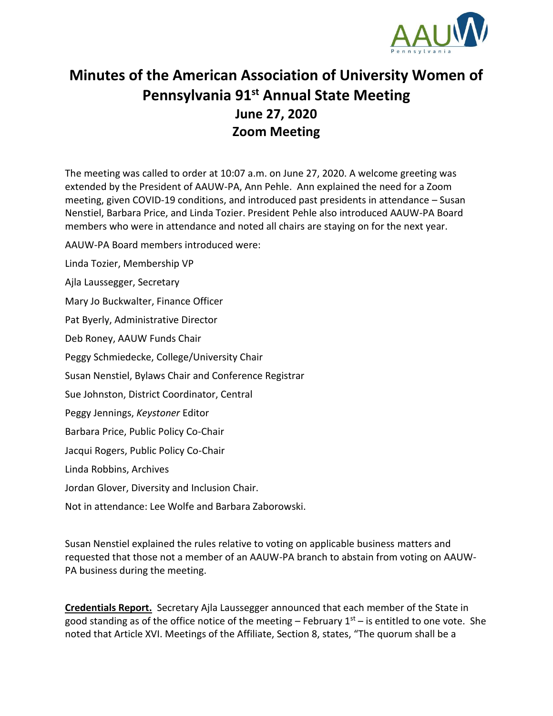

## **Minutes of the American Association of University Women of Pennsylvania 91st Annual State Meeting June 27, 2020 Zoom Meeting**

The meeting was called to order at 10:07 a.m. on June 27, 2020. A welcome greeting was extended by the President of AAUW-PA, Ann Pehle. Ann explained the need for a Zoom meeting, given COVID-19 conditions, and introduced past presidents in attendance – Susan Nenstiel, Barbara Price, and Linda Tozier. President Pehle also introduced AAUW-PA Board members who were in attendance and noted all chairs are staying on for the next year.

AAUW-PA Board members introduced were:

Linda Tozier, Membership VP

Ajla Laussegger, Secretary

Mary Jo Buckwalter, Finance Officer

Pat Byerly, Administrative Director

Deb Roney, AAUW Funds Chair

Peggy Schmiedecke, College/University Chair

Susan Nenstiel, Bylaws Chair and Conference Registrar

Sue Johnston, District Coordinator, Central

Peggy Jennings, *Keystoner* Editor

Barbara Price, Public Policy Co-Chair

Jacqui Rogers, Public Policy Co-Chair

Linda Robbins, Archives

Jordan Glover, Diversity and Inclusion Chair.

Not in attendance: Lee Wolfe and Barbara Zaborowski.

Susan Nenstiel explained the rules relative to voting on applicable business matters and requested that those not a member of an AAUW-PA branch to abstain from voting on AAUW-PA business during the meeting.

**Credentials Report.** Secretary Ajla Laussegger announced that each member of the State in good standing as of the office notice of the meeting – February  $1<sup>st</sup>$  – is entitled to one vote. She noted that Article XVI. Meetings of the Affiliate, Section 8, states, "The quorum shall be a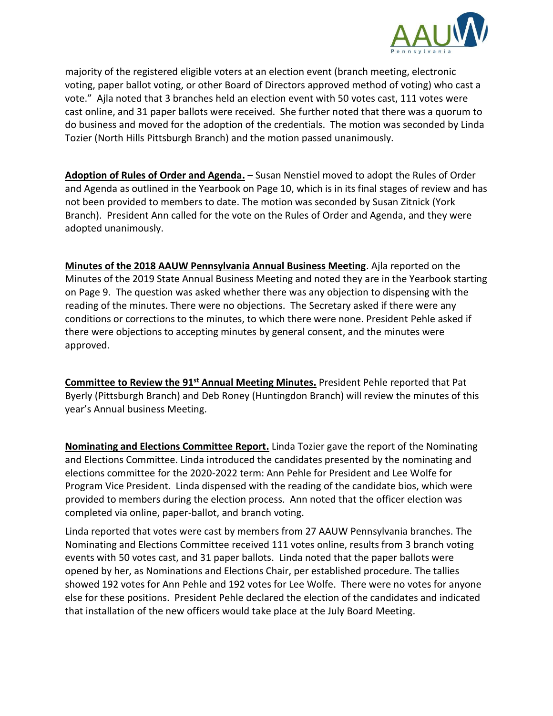

majority of the registered eligible voters at an election event (branch meeting, electronic voting, paper ballot voting, or other Board of Directors approved method of voting) who cast a vote." Ajla noted that 3 branches held an election event with 50 votes cast, 111 votes were cast online, and 31 paper ballots were received. She further noted that there was a quorum to do business and moved for the adoption of the credentials. The motion was seconded by Linda Tozier (North Hills Pittsburgh Branch) and the motion passed unanimously.

**Adoption of Rules of Order and Agenda.** – Susan Nenstiel moved to adopt the Rules of Order and Agenda as outlined in the Yearbook on Page 10, which is in its final stages of review and has not been provided to members to date. The motion was seconded by Susan Zitnick (York Branch). President Ann called for the vote on the Rules of Order and Agenda, and they were adopted unanimously.

**Minutes of the 2018 AAUW Pennsylvania Annual Business Meeting**. Ajla reported on the Minutes of the 2019 State Annual Business Meeting and noted they are in the Yearbook starting on Page 9. The question was asked whether there was any objection to dispensing with the reading of the minutes. There were no objections. The Secretary asked if there were any conditions or corrections to the minutes, to which there were none. President Pehle asked if there were objections to accepting minutes by general consent, and the minutes were approved.

**Committee to Review the 91st Annual Meeting Minutes.** President Pehle reported that Pat Byerly (Pittsburgh Branch) and Deb Roney (Huntingdon Branch) will review the minutes of this year's Annual business Meeting.

**Nominating and Elections Committee Report.** Linda Tozier gave the report of the Nominating and Elections Committee. Linda introduced the candidates presented by the nominating and elections committee for the 2020-2022 term: Ann Pehle for President and Lee Wolfe for Program Vice President. Linda dispensed with the reading of the candidate bios, which were provided to members during the election process. Ann noted that the officer election was completed via online, paper-ballot, and branch voting.

Linda reported that votes were cast by members from 27 AAUW Pennsylvania branches. The Nominating and Elections Committee received 111 votes online, results from 3 branch voting events with 50 votes cast, and 31 paper ballots. Linda noted that the paper ballots were opened by her, as Nominations and Elections Chair, per established procedure. The tallies showed 192 votes for Ann Pehle and 192 votes for Lee Wolfe. There were no votes for anyone else for these positions. President Pehle declared the election of the candidates and indicated that installation of the new officers would take place at the July Board Meeting.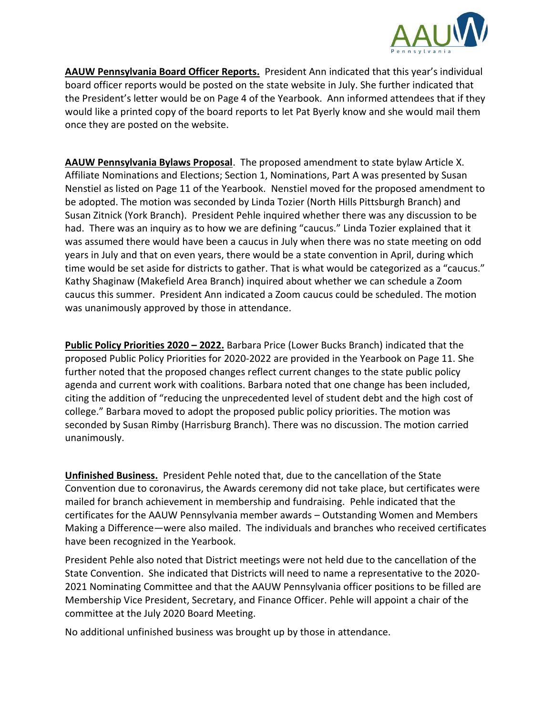

**AAUW Pennsylvania Board Officer Reports.** President Ann indicated that this year's individual board officer reports would be posted on the state website in July. She further indicated that the President's letter would be on Page 4 of the Yearbook. Ann informed attendees that if they would like a printed copy of the board reports to let Pat Byerly know and she would mail them once they are posted on the website.

**AAUW Pennsylvania Bylaws Proposal**. The proposed amendment to state bylaw Article X. Affiliate Nominations and Elections; Section 1, Nominations, Part A was presented by Susan Nenstiel as listed on Page 11 of the Yearbook. Nenstiel moved for the proposed amendment to be adopted. The motion was seconded by Linda Tozier (North Hills Pittsburgh Branch) and Susan Zitnick (York Branch). President Pehle inquired whether there was any discussion to be had. There was an inquiry as to how we are defining "caucus." Linda Tozier explained that it was assumed there would have been a caucus in July when there was no state meeting on odd years in July and that on even years, there would be a state convention in April, during which time would be set aside for districts to gather. That is what would be categorized as a "caucus." Kathy Shaginaw (Makefield Area Branch) inquired about whether we can schedule a Zoom caucus this summer. President Ann indicated a Zoom caucus could be scheduled. The motion was unanimously approved by those in attendance.

**Public Policy Priorities 2020 – 2022.** Barbara Price (Lower Bucks Branch) indicated that the proposed Public Policy Priorities for 2020-2022 are provided in the Yearbook on Page 11. She further noted that the proposed changes reflect current changes to the state public policy agenda and current work with coalitions. Barbara noted that one change has been included, citing the addition of "reducing the unprecedented level of student debt and the high cost of college." Barbara moved to adopt the proposed public policy priorities. The motion was seconded by Susan Rimby (Harrisburg Branch). There was no discussion. The motion carried unanimously.

**Unfinished Business.** President Pehle noted that, due to the cancellation of the State Convention due to coronavirus, the Awards ceremony did not take place, but certificates were mailed for branch achievement in membership and fundraising. Pehle indicated that the certificates for the AAUW Pennsylvania member awards – Outstanding Women and Members Making a Difference—were also mailed. The individuals and branches who received certificates have been recognized in the Yearbook.

President Pehle also noted that District meetings were not held due to the cancellation of the State Convention. She indicated that Districts will need to name a representative to the 2020- 2021 Nominating Committee and that the AAUW Pennsylvania officer positions to be filled are Membership Vice President, Secretary, and Finance Officer. Pehle will appoint a chair of the committee at the July 2020 Board Meeting.

No additional unfinished business was brought up by those in attendance.